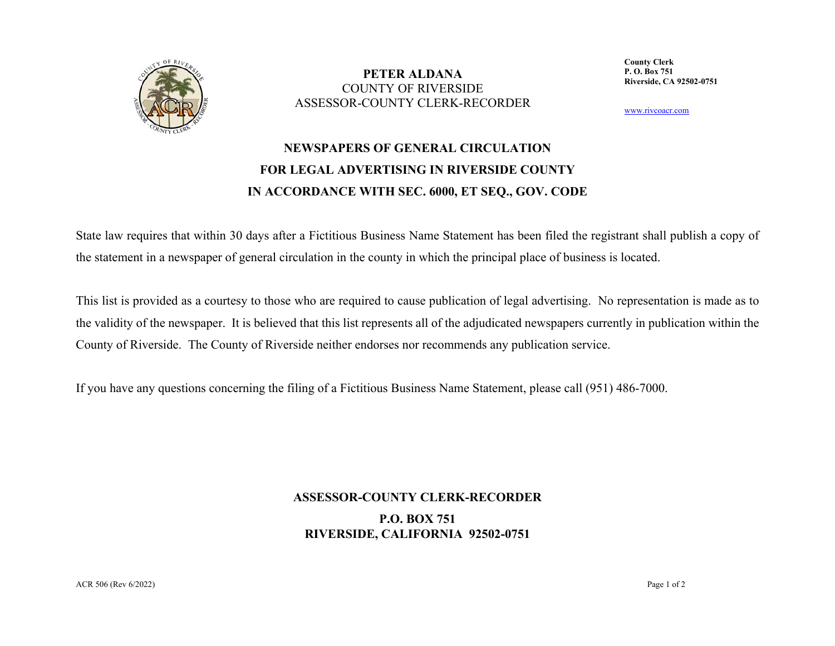

**PETER ALDANA** COUNTY OF RIVERSIDEASSESSOR-COUNTY CLERK-RECORDER **County Clerk P. O. Box 751Riverside, CA 92502-0751**

www.rivcoacr.com

## **NEWSPAPERS OF GENERAL CIRCULATION FOR LEGAL ADVERTISING IN RIVERSIDE COUNTY IN ACCORDANCE WITH SEC. 6000, ET SEQ., GOV. CODE**

State law requires that within 30 days after a Fictitious Business Name Statement has been filed the registrant shall publish a copy of the statement in a newspaper of general circulation in the county in which the principal place of business is located.

This list is provided as a courtesy to those who are required to cause publication of legal advertising. No representation is made as to the validity of the newspaper. It is believed that this list represents all of the adjudicated newspapers currently in publication within the County of Riverside. The County of Riverside neither endorses nor recommends any publication service.

If you have any questions concerning the filing of a Fictitious Business Name Statement, please call (951) 486-7000.

## **ASSESSOR-COUNTY CLERK-RECORDER P.O. BOX 751 RIVERSIDE, CALIFORNIA 92502-0751**